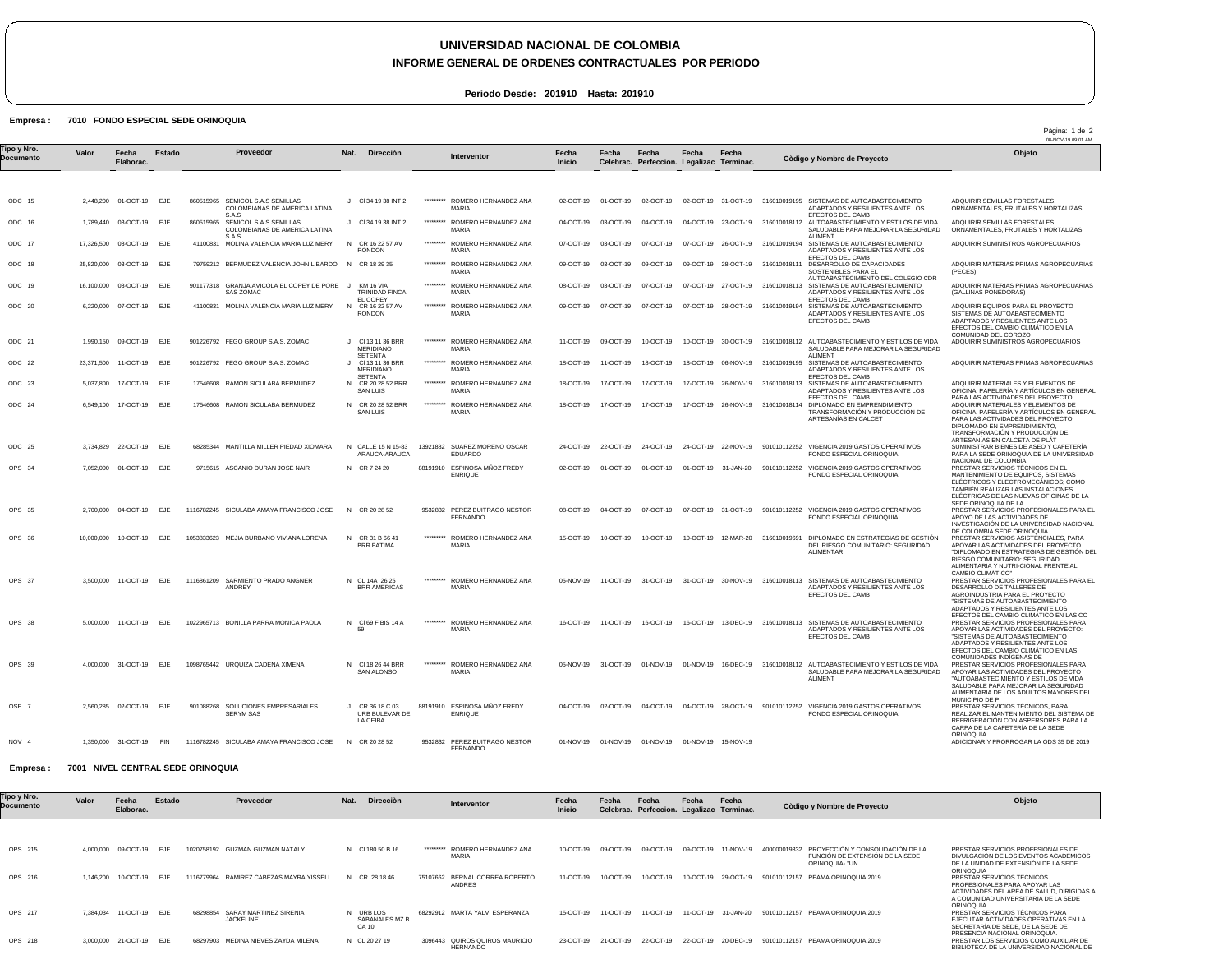## **UNIVERSIDAD NACIONAL DE COLOMBIA**

**INFORME GENERAL DE ORDENES CONTRACTUALES POR PERIODO**

**Periodo Desde: 201910 Hasta: 201910**

## Empresa : 7010 FONDO ESPECIAL SEDE ORINOQUIA

|                          |           |                         |        |                                                                            |                                                         |           |                                                  |                 |           |                                                       |           |                     |                                  |                                                                                                                                             | Pàgina: 1 de 2<br>08-NOV-19 09:01 AM                                                                                                                                                                                                                  |
|--------------------------|-----------|-------------------------|--------|----------------------------------------------------------------------------|---------------------------------------------------------|-----------|--------------------------------------------------|-----------------|-----------|-------------------------------------------------------|-----------|---------------------|----------------------------------|---------------------------------------------------------------------------------------------------------------------------------------------|-------------------------------------------------------------------------------------------------------------------------------------------------------------------------------------------------------------------------------------------------------|
| Tipo y Nro.<br>Documento | Valor     | Fecha<br>Elaborac.      | Estado | Proveedor                                                                  | Nat.<br><b>Dirección</b>                                |           | Interventor                                      | Fecha<br>Inicio | Fecha     | Fecha<br>Celebrac. Perfeccion. Legalizac Terminac     | Fecha     | Fecha               |                                  | Còdigo y Nombre de Proyecto                                                                                                                 | Objeto                                                                                                                                                                                                                                                |
| ODC 15                   |           | 2,448,200 01-OCT-19     | EJE    | 860515965 SEMICOL S.A.S SEMILLAS<br>COLOMBIANAS DE AMERICA LATINA          | J CI 34 19 38 INT 2                                     | ********* | ROMERO HERNANDEZ ANA<br><b>MARIA</b>             | 02-OCT-19       |           | 01-OCT-19 02-OCT-19                                   |           |                     |                                  | 02-OCT-19 31-OCT-19 316010019195 SISTEMAS DE AUTOABASTECIMIENTO<br>ADAPTADOS Y RESILIENTES ANTE LOS                                         | ADQUIRIR SEMILLAS FORESTALES,<br>ORNAMENTALES, FRUTALES Y HORTALIZAS.                                                                                                                                                                                 |
| ODC 16                   |           | 1,789,440 03-OCT-19     | EJE    | S.A.S<br>860515965 SEMICOL S.A.S SEMILLAS<br>COLOMBIANAS DE AMERICA LATINA | J CI 34 19 38 INT 2                                     | ********* | ROMERO HERNANDEZ ANA<br><b>MARIA</b>             | 04-OCT-19       | 03-OCT-19 | 04-OCT-19                                             |           |                     |                                  | EFECTOS DEL CAMB<br>04-OCT-19 23-OCT-19 316010018112 AUTOABASTECIMIENTO Y ESTILOS DE VIDA<br>SALUDABLE PARA MEJORAR LA SEGURIDAD            | ADQUIRIR SEMILLAS FORESTALES,<br>ORNAMENTALES, FRUTALES Y HORTALIZAS                                                                                                                                                                                  |
| ODC 17                   |           | 17,326,500 03-OCT-19    | EJE    | S.A.S<br>41100831 MOLINA VALENCIA MARIA LUZ MERY                           | N<br>CR 16 22 57 AV<br><b>RONDON</b>                    | ********* | ROMERO HERNANDEZ ANA<br><b>MARIA</b>             | 07-OCT-19       | 03-OCT-19 | 07-OCT-19                                             |           |                     | 07-OCT-19 26-OCT-19 316010019194 | <b>ALIMENT</b><br>SISTEMAS DE AUTOABASTECIMIENTO<br>ADAPTADOS Y RESILIENTES ANTE LOS                                                        | ADQUIRIR SUMINISTROS AGROPECUARIOS                                                                                                                                                                                                                    |
| ODC 18                   |           | 25,820,000 03-OCT-19    | EJE    | 79759212 BERMUDEZ VALENCIA JOHN LIBARDO N CR 18 29 35                      |                                                         | ********* | ROMERO HERNANDEZ ANA<br><b>MARIA</b>             | 09-OCT-19       | 03-OCT-19 | 09-OCT-19                                             |           |                     |                                  | EFECTOS DEL CAMB<br>09-OCT-19 28-OCT-19 316010018111 DESARROLLO DE CAPACIDADES<br>SOSTENIBLES PARA EL<br>AUTOABASTECIMIENTO DEL COLEGIO CDR | ADQUIRIR MATERIAS PRIMAS AGROPECUARIAS<br>(PECES)                                                                                                                                                                                                     |
| ODC 19                   |           | 16,100,000 03-OCT-19    | EJE    | 901177318 GRANJA AVICOLA EL COPEY DE PORE J<br><b>SAS ZOMAC</b>            | KM 16 VIA<br><b>TRINIDAD FINCA</b><br><b>EL COPEY</b>   |           | ********* ROMERO HERNANDEZ ANA<br><b>MARIA</b>   | 08-OCT-19       | 03-OCT-19 | 07-OCT-19                                             |           |                     |                                  | 07-OCT-19 27-OCT-19 316010018113 SISTEMAS DE AUTOABASTECIMIENTO<br>ADAPTADOS Y RESILIENTES ANTE LOS<br>EFECTOS DEL CAMB                     | ADQUIRIR MATERIAS PRIMAS AGROPECUARIAS<br>(GALLINAS PONEDORAS)                                                                                                                                                                                        |
| ODC 20                   |           | 6,220,000 07-OCT-19     | EJE    | 41100831 MOLINA VALENCIA MARIA LUZ MERY                                    | CR 16 22 57 AV<br>N<br><b>RONDON</b>                    | ********* | ROMERO HERNANDEZ ANA<br><b>MARIA</b>             | 09-OCT-19       | 07-OCT-19 | 07-OCT-19                                             |           |                     | 07-OCT-19 28-OCT-19 316010019194 | SISTEMAS DE AUTOABASTECIMIENTO<br>ADAPTADOS Y RESILIENTES ANTE LOS<br>EFECTOS DEL CAMB                                                      | ADQUIRIR EQUIPOS PARA EL PROYECTO<br>SISTEMAS DE AUTOABASTECIMIENTO<br>ADAPTADOS Y RESILIENTES ANTE LOS<br>EFECTOS DEL CAMBIO CLIMÁTICO EN LA<br>COMUNIDAD DEL COROZO                                                                                 |
| ODC 21                   |           | 1.990.150 09-OCT-19     | EJE    | 901226792 FEGO GROUP S.A.S. ZOMAC                                          | J CI 13 11 36 BRR<br><b>MERIDIANO</b><br><b>SETENTA</b> |           | ROMERO HERNANDEZ ANA<br>MARIA                    | 11-OCT-19       | 09-OCT-19 | 10-OCT-19                                             |           | 10-OCT-19 30-OCT-19 |                                  | 316010018112 AUTOABASTECIMIENTO Y ESTILOS DE VIDA<br>SALUDABLE PARA MEJORAR LA SEGURIDAD<br>AI IMFNT                                        | ADQUIRIR SUMINISTROS AGROPECUARIOS                                                                                                                                                                                                                    |
| ODC 22                   |           | 23,371,500 11-OCT-19    | EJE    | 901226792 FEGO GROUP S.A.S. ZOMAC                                          | J CI 13 11 36 BRR<br><b>MERIDIANO</b><br><b>SETENTA</b> |           | ********* ROMERO HERNANDEZ ANA<br><b>MARIA</b>   | 18-OCT-19       | 11-OCT-19 | 18-OCT-19                                             |           |                     |                                  | 18-OCT-19 06-NOV-19 316010019195 SISTEMAS DE AUTOABASTECIMIENTO<br>ADAPTADOS Y RESILIENTES ANTE LOS<br>EFECTOS DEL CAMB                     | ADQUIRIR MATERIAS PRIMAS AGROPECUARIAS                                                                                                                                                                                                                |
| ODC 23                   | 5,037,800 | 17-OCT-19               | EJE    | 17546608 RAMON SICULABA BERMUDEZ                                           | N CR 20 28 52 BRR<br><b>SAN LUIS</b>                    |           | ROMERO HERNANDEZ ANA<br>MARIA                    | 18-OCT-19       | 17-OCT-19 | 17-OCT-19                                             |           |                     |                                  | 17-OCT-19 26-NOV-19 316010018113 SISTEMAS DE AUTOABASTECIMIENTO<br>ADAPTADOS Y RESILIENTES ANTE LOS<br>EFECTOS DEL CAMB                     | ADQUIRIR MATERIALES Y ELEMENTOS DE<br>OFICINA, PAPELERÍA Y ARTÍCULOS EN GENERAL<br>PARA LAS ACTIVIDADES DEL PROYECTO.                                                                                                                                 |
| ODC 24                   |           | 6,549,100 17-OCT-19     | EJE    | 17546608 RAMON SICULABA BERMUDEZ                                           | N CR 20 28 52 BRR<br><b>SAN LUIS</b>                    |           | ROMERO HERNANDEZ ANA<br>MARIA                    | 18-OCT-19       | 17-OCT-19 | 17-OCT-19                                             |           |                     |                                  | 17-OCT-19 26-NOV-19 316010018114 DIPLOMADO EN EMPRENDIMIENTO,<br>TRANSFORMACIÓN Y PRODUCCIÓN DE<br>ARTESANÍAS EN CALCET                     | ADQUIRIR MATERIALES Y ELEMENTOS DE<br>OFICINA, PAPELERÍA Y ARTÍCULOS EN GENERAL<br>PARA LAS ACTIVIDADES DEL PROYECTO<br>DIPLOMADO EN EMPRENDIMIENTO,<br>TRANSFORMACIÓN Y PRODUCCIÓN DE<br>ARTESANÍAS EN CALCETA DE PLÁT                               |
| ODC 25                   |           | 3,734,829 22-OCT-19     | EJE    | 68285344 MANTILLA MILLER PIEDAD XIOMARA                                    | N CALLE 15 N 15-83<br>ARAUCA-ARAUCA                     |           | 13921882 SUAREZ MORENO OSCAR<br>EDUARDO          | 24-OCT-19       | 22-OCT-19 | 24-OCT-19                                             |           |                     |                                  | 24-OCT-19 22-NOV-19 901010112252 VIGENCIA 2019 GASTOS OPERATIVOS<br>FONDO ESPECIAL ORINOQUIA                                                | SUMINISTRAR BIENES DE ASEO Y CAFETERÍA<br>PARA LA SEDE ORINOQUIA DE LA UNIVERSIDAD<br>NACIONAL DE COLOMBIA.                                                                                                                                           |
| OPS 34                   |           | 7,052,000 01-OCT-19     | EJE    | 9715615 ASCANIO DURAN JOSE NAIR                                            | N CR 7 24 20                                            |           | 88191910 ESPINOSA MÑOZ FREDY<br><b>ENRIQUE</b>   | 02-OCT-19       | 01-OCT-19 | 01-OCT-19                                             |           | 01-OCT-19 31-JAN-20 |                                  | 901010112252 VIGENCIA 2019 GASTOS OPERATIVOS<br>FONDO ESPECIAL ORINOQUIA                                                                    | PRESTAR SERVICIOS TÉCNICOS EN EL<br>MANTENIMIENTO DE EQUIPOS, SISTEMAS<br>ELÉCTRICOS Y ELECTROMECÁNICOS; COMO<br>TAMBIÉN REALIZAR LAS INSTALACIONES<br>ELÉCTRICAS DE LAS NUEVAS OFICINAS DE LA<br>SEDE ORINOQUIA DE LA                                |
| OPS 35                   |           | 2.700.000 04-OCT-19     | EJE    | 1116782245 SICULABA AMAYA FRANCISCO JOSE                                   | N CR 20 28 52                                           |           | 9532832 PEREZ BUITRAGO NESTOR<br><b>FERNANDO</b> | 08-OCT-19       | 04-OCT-19 | 07-OCT-19                                             |           |                     |                                  | 07-OCT-19 31-OCT-19 901010112252 VIGENCIA 2019 GASTOS OPERATIVOS<br>FONDO ESPECIAL ORINOQUIA                                                | PRESTAR SERVICIOS PROFESIONALES PARA EL<br>APOYO DE LAS ACTIVIDADES DE<br>INVESTIGACIÓN DE LA UNIVERSIDAD NACIONAL                                                                                                                                    |
| OPS 36                   |           | 10,000,000 10-OCT-19    | EJF    | 1053833623 MEJIA BURBANO VIVIANA LORENA                                    | N CR 31 B 66 41<br><b>BRR FATIMA</b>                    | ********* | ROMERO HERNANDEZ ANA<br><b>MARIA</b>             | 15-OCT-19       | 10-OCT-19 | 10-OCT-19                                             |           |                     | 10-OCT-19 12-MAR-20 316010019691 | DIPLOMADO EN ESTRATEGIAS DE GESTIÓN<br>DEL RIESGO COMUNITARIO: SEGURIDAD<br><b>ALIMENTARI</b>                                               | DE COLOMBIA SEDE ORINOQUIA.<br>PRESTAR SERVICIOS ASISTENCIALES, PARA<br>APOYAR LAS ACTIVIDADES DEL PROYECTO<br>"DIPLOMADO EN ESTRATEGIAS DE GESTIÓN DEL<br>RIESGO COMUNITARIO: SEGURIDAD<br>ALIMENTARIA Y NUTRI-CIONAL FRENTE AL<br>CAMBIO CLIMÁTICO" |
| OPS 37                   |           | 3,500,000 11-OCT-19     | EJE    | 1116861209 SARMIENTO PRADO ANGNER<br><b>ANDREY</b>                         | N CL 14A 26 25<br><b>BRR AMERICAS</b>                   | ********* | ROMERO HERNANDEZ ANA<br><b>MARIA</b>             | 05-NOV-19       | 11-OCT-19 | 31-OCT-19                                             |           |                     |                                  | 31-OCT-19 30-NOV-19 316010018113 SISTEMAS DE AUTOABASTECIMIENTO<br>ADAPTADOS Y RESILIENTES ANTE LOS<br>EFECTOS DEL CAMB                     | PRESTAR SERVICIOS PROFESIONALES PARA EL<br>DESARROLLO DE TALLERES DE<br>AGROINDUSTRIA PARA EL PROYECTO<br>"SISTEMAS DE AUTOABASTECIMIENTO<br>ADAPTADOS Y RESILIENTES ANTE LOS                                                                         |
| OPS 38                   |           | 5.000.000 11-OCT-19     | E.IF   | 1022965713 BONILLA PARRA MONICA PAOLA                                      | N CI69 F BIS 14 A<br>59                                 |           | ROMERO HERNANDEZ ANA<br><b>MARIA</b>             | 16-OCT-19       | 11-OCT-19 | 16-OCT-19                                             |           |                     |                                  | 16-OCT-19 13-DEC-19 316010018113 SISTEMAS DE AUTOABASTECIMIENTO<br>ADAPTADOS Y RESILIENTES ANTE LOS<br>EFECTOS DEL CAMB                     | EFECTOS DEL CAMBIO CLIMÁTICO EN LAS CO<br>PRESTAR SERVICIOS PROFESIONALES PARA<br>APOYAR LAS ACTIVIDADES DEL PROYECTO:<br>"SISTEMAS DE AUTOABASTECIMIENTO<br>ADAPTADOS Y RESILIENTES ANTE LOS<br>EFECTOS DEL CAMBIO CLIMÁTICO EN LAS                  |
| OPS 39                   |           | 4,000,000 31-OCT-19     | EJF    | 1098765442 URQUIZA CADENA XIMENA                                           | N CI 18 26 44 BRR<br>SAN ALONSO                         |           | ROMERO HERNANDEZ ANA<br><b>MARIA</b>             | 05-NOV-19       | 31-OCT-19 | 01-NOV-19                                             | 01-NOV-19 | 16-DEC-19           | 316010018112                     | AUTOABASTECIMIENTO Y ESTILOS DE VIDA<br>SALUDABLE PARA MEJORAR LA SEGURIDAD<br><b>ALIMENT</b>                                               | COMUNIDADES INDÍGENAS DE<br>PRESTAR SERVICIOS PROFESIONALES PARA<br>APOYAR LAS ACTIVIDADES DEL PROYECTO<br>"AUTOABASTECIMIENTO Y ESTILOS DE VIDA<br>SALUDABLE PARA MEJORAR LA SEGURIDAD<br>ALIMENTARIA DE LOS ADULTOS MAYORES DEL                     |
| OSE 7                    |           | 2,560,285 02-OCT-19     | EJF    | 901088268 SOLUCIONES EMPRESARIALES<br><b>SERYM SAS</b>                     | CR 36 18 C 03<br>$\cdot$<br>URB BULEVAR DE<br>LA CEIBA  |           | 88191910 ESPINOSA MÑOZ FREDY<br><b>ENRIQUE</b>   | 04-OCT-19       |           | 02-OCT-19 04-OCT-19                                   |           |                     |                                  | 04-OCT-19 28-OCT-19 901010112252 VIGENCIA 2019 GASTOS OPERATIVOS<br>FONDO ESPECIAL ORINOQUIA                                                | MUNICIPIO DE P<br>PRESTAR SERVICIOS TÉCNICOS, PARA<br>REALIZAR EL MANTENIMIENTO DEL SISTEMA DE<br>REFRIGERACIÓN CON ASPERSORES PARA LA<br>CARPA DE LA CAFETERÍA DE LA SEDE<br>ORINOQUIA                                                               |
| NOV <sub>4</sub>         |           | 1,350,000 31-OCT-19 FIN |        | 1116782245 SICULABA AMAYA FRANCISCO JOSE                                   | N CR 20 28 52                                           |           | 9532832 PEREZ BUITRAGO NESTOR<br><b>FERNANDO</b> |                 |           | 01-NOV-19  01-NOV-19  01-NOV-19  01-NOV-19  15-NOV-19 |           |                     |                                  |                                                                                                                                             | ADICIONAR Y PRORROGAR LA ODS 35 DE 2019                                                                                                                                                                                                               |

Empresa : 7001 NIVEL CENTRAL SEDE ORINOQUIA

| <b>Tipo y Nro.</b><br>Documento | Valor     | Fecha<br>Elaborac. | Estado     | Proveedor                                              | Nat.<br>Direcciòn                   | Interventor                                          | Fecha<br>Inicio | Fecha     | Fecha<br>Celebrac. Perfeccion. | Fecha     | Fecha<br>Legalizac Terminac. | Còdigo y Nombre de Proyecto                                                                           | Objeto                                                                                                                                                                |
|---------------------------------|-----------|--------------------|------------|--------------------------------------------------------|-------------------------------------|------------------------------------------------------|-----------------|-----------|--------------------------------|-----------|------------------------------|-------------------------------------------------------------------------------------------------------|-----------------------------------------------------------------------------------------------------------------------------------------------------------------------|
|                                 |           |                    |            |                                                        |                                     |                                                      |                 |           |                                |           |                              |                                                                                                       |                                                                                                                                                                       |
| OPS 215                         | 4.000.000 | 09-OCT-19          | EJE        | <b>GUZMAN GUZMAN NATALY</b><br>1020758192              | N CI 180 50 B 16                    | ROMERO HERNANDEZ ANA<br><b>MARIA</b>                 | 10-OCT-19       | 09-OCT-19 | 09-OCT-19                      | 09-OCT-19 | 11-NOV-19                    | PROYECCIÓN Y CONSOLIDACIÓN DE LA<br>400000019332<br>FUNCIÓN DE EXTENSIÓN DE LA SEDE<br>ORINOQUIA- "UN | PRESTAR SERVICIOS PROFESIONALES DE<br>DIVULGACIÓN DE LOS EVENTOS ACADEMICOS<br>DE LA UNIDAD DE EXTENSIÓN DE LA SEDE                                                   |
| OPS 216                         | 1.146.200 | 10-OCT-19          | <b>EJE</b> | 1116779964 RAMIREZ CABEZAS MAYRA YISSELL               | N CR 28 18 46                       | 75107662 BERNAL CORREA ROBERTO<br>ANDRES             | 11-OCT-19       | 10-OCT-19 | 10-OCT-19                      |           | 10-OCT-19 29-OCT-19          | 901010112157 PEAMA ORINOQUIA 2019                                                                     | <b>ORINOQUIA</b><br>PRESTAR SERVICIOS TECNICOS<br>PROFESIONALES PARA APOYAR LAS<br>ACTIVIDADES DEL ÀREA DE SALUD. DIRIGIDAS A<br>A COMUNIDAD UNIVERSITARIA DE LA SEDE |
| OPS 217                         | 7.384.034 | 11-OCT-19          | <b>EJE</b> | SARAY MARTINEZ SIRENIA<br>68298854<br><b>JACKELINE</b> | N URBLOS<br>SABANALES MZ B<br>CA 10 | 68292912 MARTA YALVI ESPERANZA                       | 15-OCT-19       | 11-OCT-19 | 11-OCT-19                      | 11-OCT-19 | 31-JAN-20                    | PEAMA ORINOQUIA 2019<br>901010112157                                                                  | ORINOQUIA<br>PRESTAR SERVICIOS TÉCNICOS PARA<br>EJECUTAR ACTIVIDADES OPERATIVAS EN LA<br>SECRETARÍA DE SEDE. DE LA SEDE DE                                            |
| OPS 218                         | 3.000.000 | 21-OCT-19          | EJE        | MEDINA NIEVES ZAYDA MILENA<br>68297903                 | N CL 20 27 19                       | QUIROS QUIROS MAURICIO<br>3096443<br><b>HERNANDO</b> | 23-OCT-19       | 21-OCT-19 | 22-OCT-19                      | 22-OCT-19 | 20-DEC-19                    | 901010112157 PEAMA ORINOQUIA 2019                                                                     | PRESENCIA NACIONAL ORINOQUIA.<br>PRESTAR LOS SERVICIOS COMO AUXILIAR DE<br>BIBLIOTECA DE LA UNIVERSIDAD NACIONAL DE                                                   |